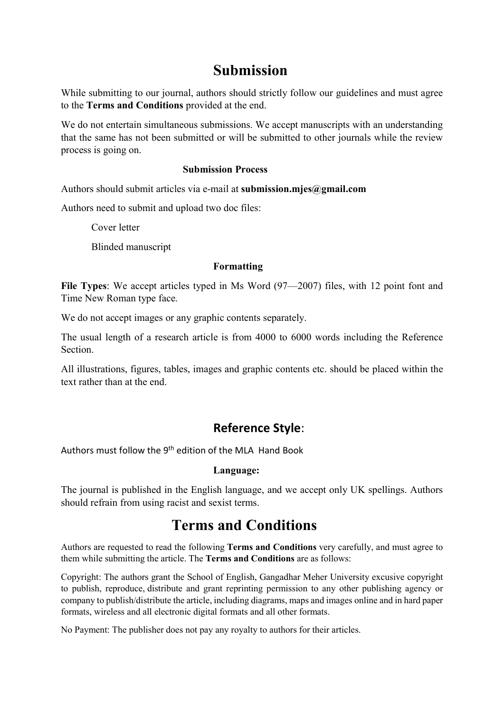## Submission

While submitting to our journal, authors should strictly follow our guidelines and must agree to the Terms and Conditions provided at the end.

We do not entertain simultaneous submissions. We accept manuscripts with an understanding that the same has not been submitted or will be submitted to other journals while the review process is going on.

### Submission Process

Authors should submit articles via e-mail at submission.mjes@gmail.com

Authors need to submit and upload two doc files:

Cover letter

Blinded manuscript

#### Formatting

File Types: We accept articles typed in Ms Word (97—2007) files, with 12 point font and Time New Roman type face.

We do not accept images or any graphic contents separately.

The usual length of a research article is from 4000 to 6000 words including the Reference Section.

All illustrations, figures, tables, images and graphic contents etc. should be placed within the text rather than at the end.

### Reference Style:

Authors must follow the 9<sup>th</sup> edition of the MLA Hand Book

### Language:

The journal is published in the English language, and we accept only UK spellings. Authors should refrain from using racist and sexist terms.

# Terms and Conditions

Authors are requested to read the following Terms and Conditions very carefully, and must agree to them while submitting the article. The Terms and Conditions are as follows:

Copyright: The authors grant the School of English, Gangadhar Meher University excusive copyright to publish, reproduce, distribute and grant reprinting permission to any other publishing agency or company to publish/distribute the article, including diagrams, maps and images online and in hard paper formats, wireless and all electronic digital formats and all other formats.

No Payment: The publisher does not pay any royalty to authors for their articles.